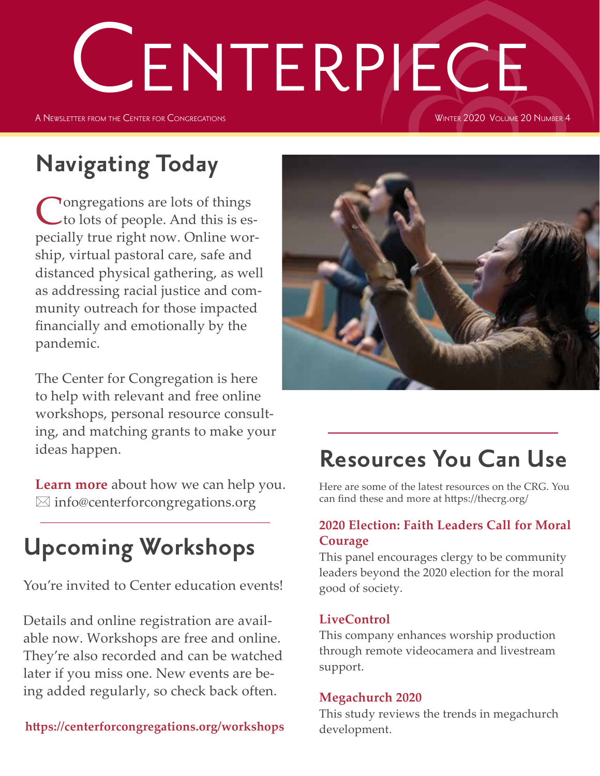# CENTERPIECE

A Newsletter from the Center for Congregations

#### WINTER 2020 VOLUME 20 NUMBER 4

# **Navigating Today**

Congregations are lots of things<br>
to lots of people. And this is especially true right now. Online worship, virtual pastoral care, safe and distanced physical gathering, as well as addressing racial justice and community outreach for those impacted financially and emotionally by the pandemic.

The Center for Congregation is here to help with relevant and free online workshops, personal resource consulting, and matching grants to make your ideas happen.

**Learn more** about how we can help you.  $\boxtimes$  info@centerforcongregations.org

# **Upcoming Workshops**

You're invited to Center education events!

Details and online registration are available now. Workshops are free and online. They're also recorded and can be watched later if you miss one. New events are being added regularly, so check back often.

**https://centerforcongregations.org/workshops**



# **Resources You Can Use**

Here are some of the latest resources on the CRG. You can find these and more at https://thecrg.org/

## **2020 Election: Faith Leaders Call for Moral Courage**

This panel encourages clergy to be community leaders beyond the 2020 election for the moral good of society.

## **LiveControl**

This company enhances worship production through remote videocamera and livestream support.

## **Megachurch 2020**

This study reviews the trends in megachurch development.